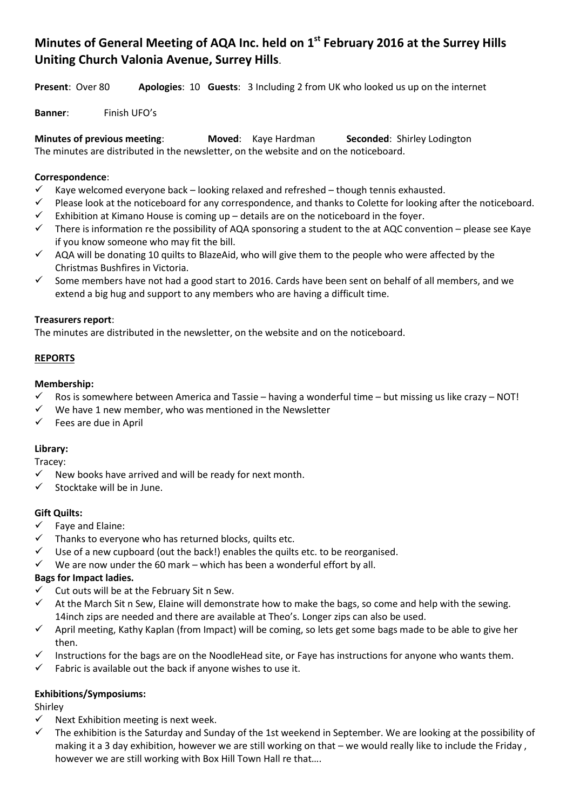# **Minutes of General Meeting of AQA Inc. held on 1st February 2016 at the Surrey Hills Uniting Church Valonia Avenue, Surrey Hills**.

**Present**: Over 80 **Apologies**: 10 **Guests**: 3 Including 2 from UK who looked us up on the internet

**Banner**: Finish UFO's

**Minutes of previous meeting**: **Moved**: Kaye Hardman **Seconded**: Shirley Lodington The minutes are distributed in the newsletter, on the website and on the noticeboard.

## **Correspondence**:

- Kaye welcomed everyone back looking relaxed and refreshed though tennis exhausted.
- Please look at the noticeboard for any correspondence, and thanks to Colette for looking after the noticeboard.
- Exhibition at Kimano House is coming up details are on the noticeboard in the foyer.
- There is information re the possibility of AQA sponsoring a student to the at AQC convention please see Kaye if you know someone who may fit the bill.
- $\checkmark$  AQA will be donating 10 quilts to BlazeAid, who will give them to the people who were affected by the Christmas Bushfires in Victoria.
- Some members have not had a good start to 2016. Cards have been sent on behalf of all members, and we extend a big hug and support to any members who are having a difficult time.

#### **Treasurers report**:

The minutes are distributed in the newsletter, on the website and on the noticeboard.

#### **REPORTS**

#### **Membership:**

- Ros is somewhere between America and Tassie having a wonderful time but missing us like crazy NOT!
- $\checkmark$  We have 1 new member, who was mentioned in the Newsletter
- $\checkmark$  Fees are due in April

## **Library:**

Tracey:

- New books have arrived and will be ready for next month.
- $\checkmark$  Stocktake will be in June.

## **Gift Quilts:**

- $\checkmark$  Fave and Elaine:
- $\checkmark$  Thanks to everyone who has returned blocks, quilts etc.
- $\checkmark$  Use of a new cupboard (out the back!) enables the quilts etc. to be reorganised.
- $\checkmark$  We are now under the 60 mark which has been a wonderful effort by all.

## **Bags for Impact ladies.**

- $\checkmark$  Cut outs will be at the February Sit n Sew.
- $\checkmark$  At the March Sit n Sew, Elaine will demonstrate how to make the bags, so come and help with the sewing. 14inch zips are needed and there are available at Theo's. Longer zips can also be used.
- $\checkmark$  April meeting, Kathy Kaplan (from Impact) will be coming, so lets get some bags made to be able to give her then.
- Instructions for the bags are on the NoodleHead site, or Faye has instructions for anyone who wants them.
- $\checkmark$  Fabric is available out the back if anyone wishes to use it.

## **Exhibitions/Symposiums:**

Shirley

- $\checkmark$  Next Exhibition meeting is next week.
- $\checkmark$  The exhibition is the Saturday and Sunday of the 1st weekend in September. We are looking at the possibility of making it a 3 day exhibition, however we are still working on that – we would really like to include the Friday , however we are still working with Box Hill Town Hall re that….